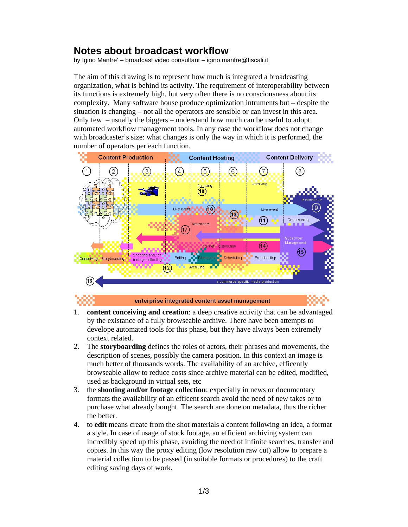## **Notes about broadcast workflow**

by Igino Manfre' – broadcast video consultant – igino.manfre@tiscali.it

The aim of this drawing is to represent how much is integrated a broadcasting organization, what is behind its activity. The requirement of interoperability between its functions is extremely high, but very often there is no consciousness about its complexity. Many software house produce optimization intruments but – despite the situation is changing – not all the operators are sensible or can invest in this area. Only few – usually the biggers – understand how much can be useful to adopt automated workflow management tools. In any case the workflow does not change with broadcaster's size: what changes is only the way in which it is performed, the number of operators per each function.





enterprise integrated content asset management



- 1. **content conceiving and creation**: a deep creative activity that can be advantaged by the existance of a fully browseable archive. There have been attempts to develope automated tools for this phase, but they have always been extremely context related.
- 2. The **storyboarding** defines the roles of actors, their phrases and movements, the description of scenes, possibly the camera position. In this context an image is much better of thousands words. The availability of an archive, efficently browseable allow to reduce costs since archive material can be edited, modified, used as background in virtual sets, etc
- 3. the **shooting and/or footage collection**: expecially in news or documentary formats the availability of an efficent search avoid the need of new takes or to purchase what already bought. The search are done on metadata, thus the richer the better.
- 4. to **edit** means create from the shot materials a content following an idea, a format a style. In case of usage of stock footage, an efficient archiving system can incredibly speed up this phase, avoiding the need of infinite searches, transfer and copies. In this way the proxy editing (low resolution raw cut) allow to prepare a material collection to be passed (in suitable formats or procedures) to the craft editing saving days of work.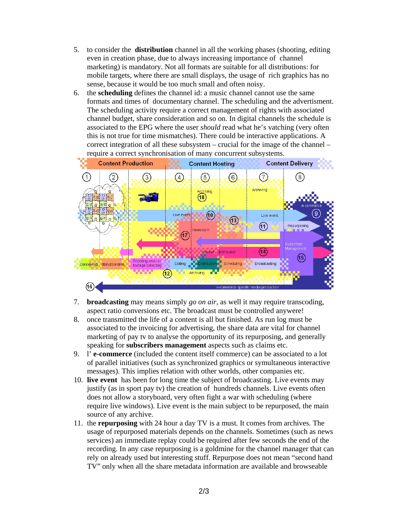- 5. to consider the **distribution** channel in all the working phases (shooting, editing even in creation phase, due to always increasing importance of channel marketing) is mandatory. Not all formats are suitable for all distributions: for mobile targets, where there are small displays, the usage of rich graphics has no sense, because it would be too much small and often noisy.
- 6. the **scheduling** defines the channel id: a music channel cannot use the same formats and times of documentary channel. The scheduling and the advertisment. The scheduling activity require a correct management of rights with associated channel budget, share consideration and so on. In digital channels the schedule is associated to the EPG where the user *should* read what he's vatching (very often this is not true for time mismatches). There could be interactive applications. A correct integration of all these subsystem – crucial for the image of the channel – require a correct synchronisation of many concurrent subsystems.



- 7. **broadcasting** may means simply *go on air*, as well it may require transcoding, aspect ratio conversions etc. The broadcast must be controlled anywere!
- 8. once transmitted the life of a content is all but finished. As run log must be associated to the invoicing for advertising, the share data are vital for channel marketing of pay tv to analyse the opportunity of its repurposing, and generally speaking for **subscribers management** aspects such as claims etc.
- 9. l' **e-commerce** (included the content itself commerce) can be associated to a lot of parallel initiatives (such as synchronized graphics or symultaneous interactive messages). This implies relation with other worlds, other companies etc.
- 10. **live event** has been for long time the subject of broadcasting. Live events may justify (as in sport pay tv) the creation of hundreds channels. Live events often does not allow a storyboard, very often fight a war with scheduling (where require live windows). Live event is the main subject to be repurposed, the main source of any archive.
- 11. the **repurposing** with 24 hour a day TV is a must. It comes from archives. The usage of repurposed materials depends on the channels. Sometimes (such as news services) an immediate replay could be required after few seconds the end of the recording. In any case repurposing is a goldmine for the channel manager that can rely on already used but interesting stuff. Repurpose does not mean "second hand TV" only when all the share metadata information are available and browseable